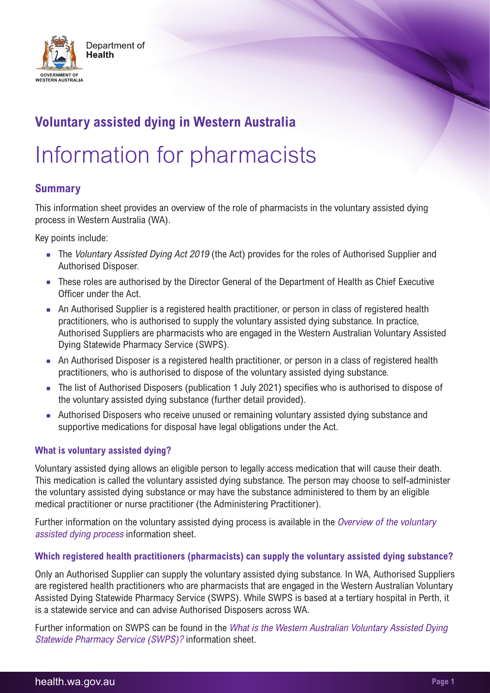

# **Voluntary assisted dying in Western Australia**

# Information for pharmacists

# **Summary**

This information sheet provides an overview of the role of pharmacists in the voluntary assisted dying process in Western Australia (WA).

Key points include:

- The Voluntary Assisted Dying Act 2019 (the Act) provides for the roles of Authorised Supplier and Authorised Disposer.
- These roles are authorised by the Director General of the Department of Health as Chief Executive Officer under the Act.
- An Authorised Supplier is a registered health practitioner, or person in class of registered health practitioners, who is authorised to supply the voluntary assisted dying substance. In practice, Authorised Suppliers are pharmacists who are engaged in the Western Australian Voluntary Assisted Dying Statewide Pharmacy Service (SWPS).
- An Authorised Disposer is a registered health practitioner, or person in a class of registered health practitioners, who is authorised to dispose of the voluntary assisted dying substance.
- The list of Authorised Disposers (publication 1 July 2021) specifies who is authorised to dispose of the voluntary assisted dying substance (further detail provided).
- Authorised Disposers who receive unused or remaining voluntary assisted dying substance and supportive medications for disposal have legal obligations under the Act.

## **What is voluntary assisted dying?**

Voluntary assisted dying allows an eligible person to legally access medication that will cause their death. This medication is called the voluntary assisted dying substance. The person may choose to self-administer the voluntary assisted dying substance or may have the substance administered to them by an eligible medical practitioner or nurse practitioner (the Administering Practitioner).

Further information on the voluntary assisted dying process is available in the Overview of the voluntary assisted dying process information sheet.

## **Which registered health practitioners (pharmacists) can supply the voluntary assisted dying substance?**

Only an Authorised Supplier can supply the voluntary assisted dying substance. In WA, Authorised Suppliers are registered health practitioners who are pharmacists that are engaged in the Western Australian Voluntary Assisted Dying Statewide Pharmacy Service (SWPS). While SWPS is based at a tertiary hospital in Perth, it is a statewide service and can advise Authorised Disposers across WA.

Further information on SWPS can be found in the What is the Western Australian Voluntary Assisted Dying Statewide Pharmacy Service (SWPS)? information sheet.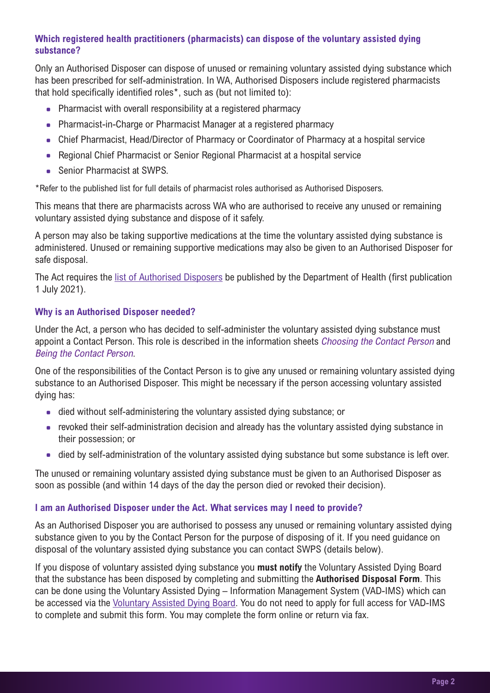# **Which registered health practitioners (pharmacists) can dispose of the voluntary assisted dying substance?**

Only an Authorised Disposer can dispose of unused or remaining voluntary assisted dying substance which has been prescribed for self-administration. In WA, Authorised Disposers include registered pharmacists that hold specifically identified roles\*, such as (but not limited to):

- Pharmacist with overall responsibility at a registered pharmacy
- Pharmacist-in-Charge or Pharmacist Manager at a registered pharmacy
- Chief Pharmacist, Head/Director of Pharmacy or Coordinator of Pharmacy at a hospital service
- Regional Chief Pharmacist or Senior Regional Pharmacist at a hospital service
- Senior Pharmacist at SWPS.

\*Refer to the published list for full details of pharmacist roles authorised as Authorised Disposers.

This means that there are pharmacists across WA who are authorised to receive any unused or remaining voluntary assisted dying substance and dispose of it safely.

A person may also be taking supportive medications at the time the voluntary assisted dying substance is administered. Unused or remaining supportive medications may also be given to an Authorised Disposer for safe disposal.

The Act requires the [list of Authorised Disposers](https://ww2.health.wa.gov.au/-/media/Corp/Documents/Health-for/Voluntary-assisted-dying/Authorised-disposer-list.pdf) be published by the Department of Health (first publication 1 July 2021).

#### **Why is an Authorised Disposer needed?**

Under the Act, a person who has decided to self-administer the voluntary assisted dying substance must appoint a Contact Person. This role is described in the information sheets *Choosing the Contact Person* and Being the Contact Person.

One of the responsibilities of the Contact Person is to give any unused or remaining voluntary assisted dying substance to an Authorised Disposer. This might be necessary if the person accessing voluntary assisted dying has:

- died without self-administering the voluntary assisted dying substance; or
- revoked their self-administration decision and already has the voluntary assisted dying substance in their possession; or
- died by self-administration of the voluntary assisted dying substance but some substance is left over.

The unused or remaining voluntary assisted dying substance must be given to an Authorised Disposer as soon as possible (and within 14 days of the day the person died or revoked their decision).

#### **I am an Authorised Disposer under the Act. What services may I need to provide?**

As an Authorised Disposer you are authorised to possess any unused or remaining voluntary assisted dying substance given to you by the Contact Person for the purpose of disposing of it. If you need guidance on disposal of the voluntary assisted dying substance you can contact SWPS (details below).

If you dispose of voluntary assisted dying substance you **must notify** the Voluntary Assisted Dying Board that the substance has been disposed by completing and submitting the **Authorised Disposal Form**. This can be done using the Voluntary Assisted Dying – Information Management System (VAD-IMS) which can be accessed via the [Voluntary Assisted Dying Board](https://ww2.health.wa.gov.au/voluntaryassisteddyingboard). You do not need to apply for full access for VAD-IMS to complete and submit this form. You may complete the form online or return via fax.